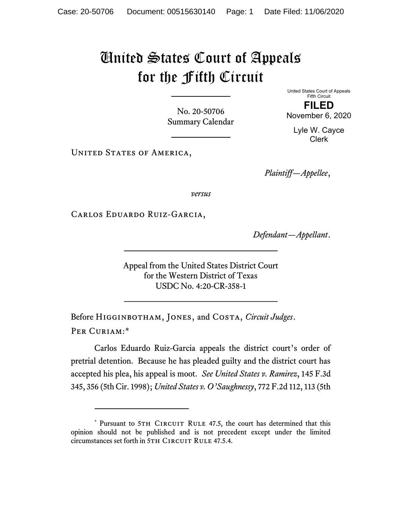## United States Court of Appeals for the Fifth Circuit

No. 20-50706 Summary Calendar United States Court of Appeals Fifth Circuit

FILED November 6, 2020

Lyle W. Cayce Clerk

UNITED STATES OF AMERICA,

Plaintiff—Appellee,

versus

Carlos Eduardo Ruiz-Garcia,

Defendant—Appellant.

Appeal from the United States District Court for the Western District of Texas USDC No. 4:20-CR-358-1

Before HIGGINBOTHAM, JONES, and COSTA, Circuit Judges. Per Curiam:\*

Carlos Eduardo Ruiz-Garcia appeals the district court's order of pretrial detention. Because he has pleaded guilty and the district court has accepted his plea, his appeal is moot. See United States v. Ramirez, 145 F.3d 345, 356 (5th Cir. 1998); United States v. O'Saughnessy, 772 F.2d 112, 113 (5th

<sup>\*</sup> Pursuant to 5TH CIRCUIT RULE 47.5, the court has determined that this opinion should not be published and is not precedent except under the limited circumstances set forth in 5TH CIRCUIT RULE 47.5.4.